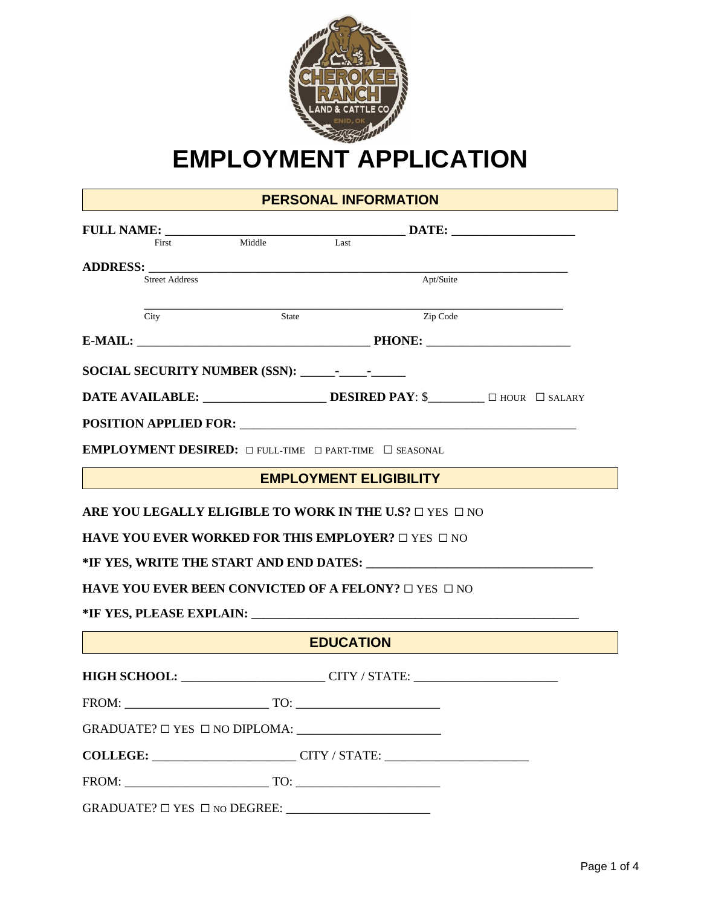

# **EMPLOYMENT APPLICATION**

# **PERSONAL INFORMATION**

| FULL NAME: ________                                                                                                                          |        |                               |                            |  |
|----------------------------------------------------------------------------------------------------------------------------------------------|--------|-------------------------------|----------------------------|--|
| First                                                                                                                                        | Middle | Last                          |                            |  |
| <b>Street Address</b>                                                                                                                        |        |                               | Apt/Suite                  |  |
|                                                                                                                                              |        |                               |                            |  |
| City                                                                                                                                         | State  |                               | Zip Code                   |  |
|                                                                                                                                              |        |                               | E-MAIL: PHONE:             |  |
|                                                                                                                                              |        |                               |                            |  |
|                                                                                                                                              |        |                               |                            |  |
|                                                                                                                                              |        |                               |                            |  |
| <b>EMPLOYMENT DESIRED:</b> $\Box$ FULL-TIME $\Box$ PART-TIME $\Box$ SEASONAL                                                                 |        |                               |                            |  |
|                                                                                                                                              |        | <b>EMPLOYMENT ELIGIBILITY</b> |                            |  |
| <b>HAVE YOU EVER WORKED FOR THIS EMPLOYER?</b> $\Box$ YES $\Box$ NO<br><b>HAVE YOU EVER BEEN CONVICTED OF A FELONY?</b> $\Box$ YES $\Box$ NO |        |                               |                            |  |
|                                                                                                                                              |        | <b>EDUCATION</b>              |                            |  |
|                                                                                                                                              |        |                               | HIGH SCHOOL: CITY / STATE: |  |
| FROM: TO: TO:                                                                                                                                |        |                               |                            |  |
| $GRADUATE? \square$ YES $\square$ NO DIPLOMA:                                                                                                |        |                               |                            |  |
| COLLEGE: COLLEGE: CITY / STATE: CITY / STATE:                                                                                                |        |                               |                            |  |
| FROM: TO:                                                                                                                                    |        |                               |                            |  |
| GRADUATE? $\Box$ YES $\Box$ NO DEGREE:                                                                                                       |        |                               |                            |  |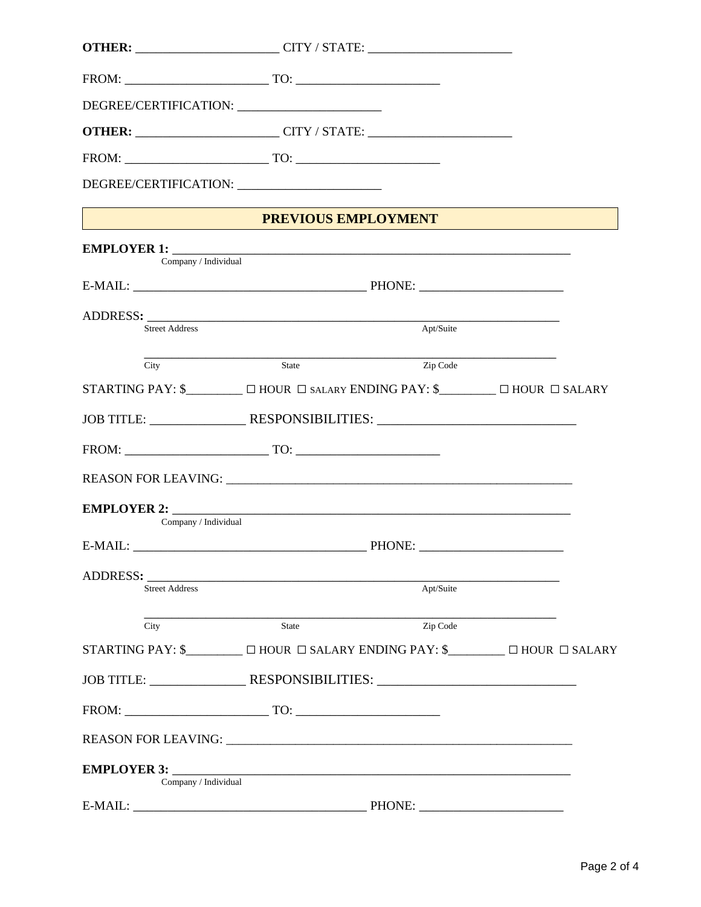|                                                            | <b>OTHER:</b> _________________________CITY / STATE: _________________________________                                  |           |  |
|------------------------------------------------------------|-------------------------------------------------------------------------------------------------------------------------|-----------|--|
|                                                            |                                                                                                                         |           |  |
|                                                            |                                                                                                                         |           |  |
|                                                            | <b>OTHER:</b> __________________________CITY / STATE: ________________________________                                  |           |  |
|                                                            | $FROM: \begin{tabular}{@{}c@{}} \hline \multicolumn{3}{c}{\textbf{FROM}}: \end{tabular}$                                |           |  |
|                                                            | DEGREE/CERTIFICATION: _________________________                                                                         |           |  |
|                                                            | <b>PREVIOUS EMPLOYMENT</b>                                                                                              |           |  |
|                                                            |                                                                                                                         |           |  |
| Company / Individual                                       |                                                                                                                         |           |  |
|                                                            |                                                                                                                         |           |  |
|                                                            |                                                                                                                         |           |  |
| <b>Street Address</b>                                      |                                                                                                                         | Apt/Suite |  |
| <u> 1989 - Johann Johnson, mars andrew Maria (</u><br>City | State                                                                                                                   | Zip Code  |  |
|                                                            | STARTING PAY: \$__________ $\Box$ HOUR $\Box$ SALARY ENDING PAY: \$_________ $\Box$ HOUR $\Box$ SALARY                  |           |  |
|                                                            |                                                                                                                         |           |  |
|                                                            |                                                                                                                         |           |  |
|                                                            |                                                                                                                         |           |  |
|                                                            |                                                                                                                         |           |  |
| Company / Individual                                       |                                                                                                                         |           |  |
| $E-MAIL:$                                                  |                                                                                                                         | PHONE:    |  |
| ADDRESS:                                                   |                                                                                                                         |           |  |
| <b>Street Address</b>                                      |                                                                                                                         | Apt/Suite |  |
| City                                                       | <b>State</b>                                                                                                            | Zip Code  |  |
|                                                            | STARTING PAY: $\mathcal{S}$ $\Box$ $\Box$ HOUR $\Box$ SALARY ENDING PAY: $\mathcal{S}$ $\Box$ $\Box$ HOUR $\Box$ SALARY |           |  |
|                                                            | JOB TITLE: _______________________RESPONSIBILITIES: _____________________________                                       |           |  |
|                                                            |                                                                                                                         |           |  |
|                                                            |                                                                                                                         |           |  |
|                                                            |                                                                                                                         |           |  |
| Company / Individual                                       |                                                                                                                         |           |  |
| $F-MAH$ .                                                  |                                                                                                                         | $PHONF+$  |  |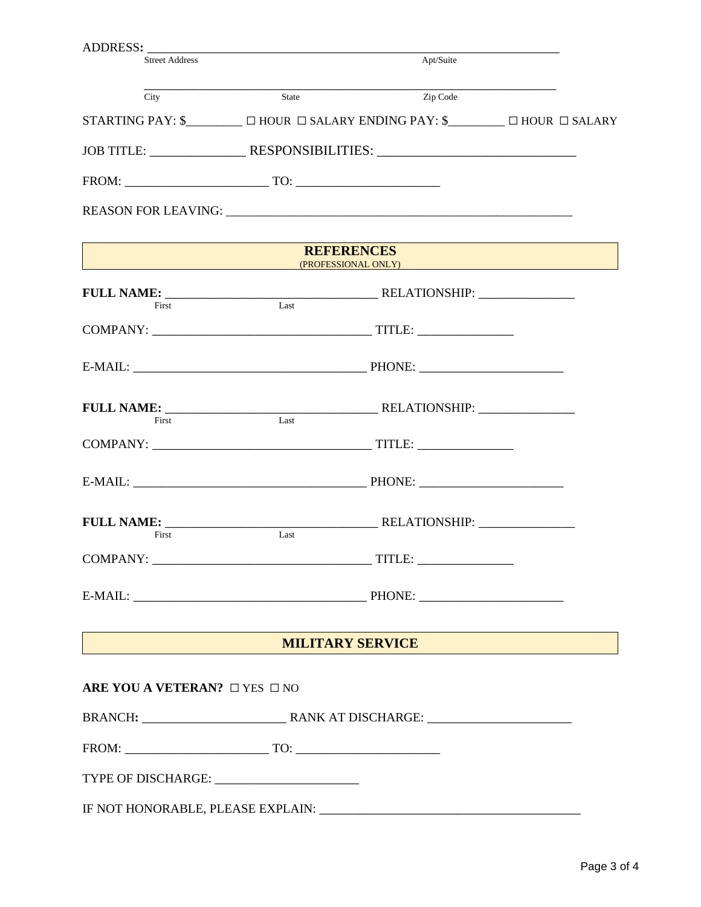| <b>Street Address</b>                        |       | Apt/Suite                                                                                                               |  |
|----------------------------------------------|-------|-------------------------------------------------------------------------------------------------------------------------|--|
| City                                         | State | Zip Code                                                                                                                |  |
|                                              |       | STARTING PAY: $\mathcal{S}$ $\Box$ $\Box$ HOUR $\Box$ SALARY ENDING PAY: $\mathcal{S}$ $\Box$ $\Box$ HOUR $\Box$ SALARY |  |
|                                              |       | JOB TITLE: ______________________RESPONSIBILITIES: ______________________________                                       |  |
|                                              |       |                                                                                                                         |  |
|                                              |       |                                                                                                                         |  |
|                                              |       | <b>REFERENCES</b><br>(PROFESSIONAL ONLY) <b>Example 2008</b>                                                            |  |
| First                                        | Last  |                                                                                                                         |  |
|                                              |       |                                                                                                                         |  |
|                                              |       |                                                                                                                         |  |
| First                                        | Last  |                                                                                                                         |  |
|                                              |       |                                                                                                                         |  |
|                                              |       |                                                                                                                         |  |
| First                                        | Last  |                                                                                                                         |  |
|                                              |       |                                                                                                                         |  |
|                                              |       |                                                                                                                         |  |
| MILITARY SERVICE                             |       |                                                                                                                         |  |
| ARE YOU A VETERAN? O YES ONO                 |       |                                                                                                                         |  |
|                                              |       |                                                                                                                         |  |
|                                              |       |                                                                                                                         |  |
| TYPE OF DISCHARGE: _________________________ |       |                                                                                                                         |  |
|                                              |       |                                                                                                                         |  |
|                                              |       |                                                                                                                         |  |